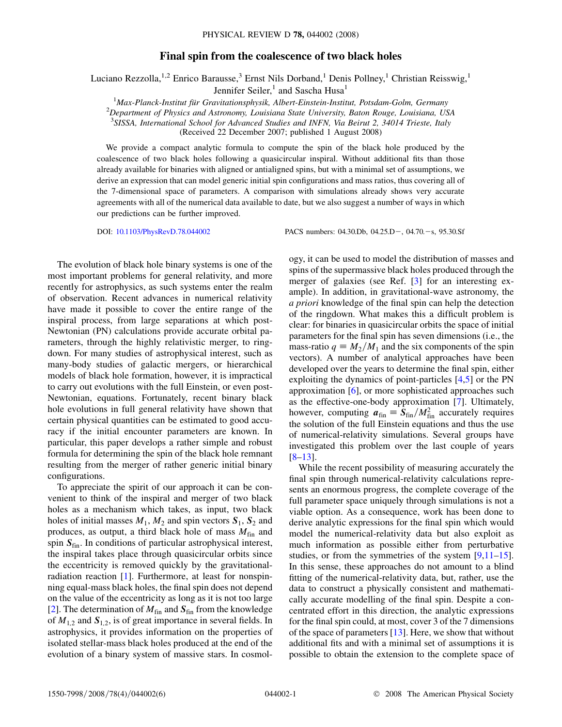## Final spin from the coalescence of two black holes

Luciano Rezzolla,<sup>1,2</sup> Enrico Barausse,<sup>3</sup> Ernst Nils Dorband,<sup>1</sup> Denis Pollney,<sup>1</sup> Christian Reisswig,<sup>1</sup>

Jennifer Seiler,<sup>1</sup> and Sascha Husa<sup>1</sup>

<sup>1</sup>Max-Planck-Institut für Gravitationsphysik, Albert-Einstein-Institut, Potsdam-Golm, Germany<br><sup>2</sup>Department of Physics and Astronomy Louisiang State University Baton Bouge, Louisiang, US

 $^{2}$ Department of Physics and Astronomy, Louisiana State University, Baton Rouge, Louisiana, USA

<sup>3</sup>SISSA, International School for Advanced Studies and INFN, Via Beirut 2, 34014 Trieste, Italy

(Received 22 December 2007; published 1 August 2008)

We provide a compact analytic formula to compute the spin of the black hole produced by the coalescence of two black holes following a quasicircular inspiral. Without additional fits than those already available for binaries with aligned or antialigned spins, but with a minimal set of assumptions, we derive an expression that can model generic initial spin configurations and mass ratios, thus covering all of the 7-dimensional space of parameters. A comparison with simulations already shows very accurate agreements with all of the numerical data available to date, but we also suggest a number of ways in which our predictions can be further improved.

DOI: [10.1103/PhysRevD.78.044002](http://dx.doi.org/10.1103/PhysRevD.78.044002) PACS numbers: 04.30.Db, 04.25.D-, 04.70.-s, 95.30.Sf

The evolution of black hole binary systems is one of the most important problems for general relativity, and more recently for astrophysics, as such systems enter the realm of observation. Recent advances in numerical relativity have made it possible to cover the entire range of the inspiral process, from large separations at which post-Newtonian (PN) calculations provide accurate orbital parameters, through the highly relativistic merger, to ringdown. For many studies of astrophysical interest, such as many-body studies of galactic mergers, or hierarchical models of black hole formation, however, it is impractical to carry out evolutions with the full Einstein, or even post-Newtonian, equations. Fortunately, recent binary black hole evolutions in full general relativity have shown that certain physical quantities can be estimated to good accuracy if the initial encounter parameters are known. In particular, this paper develops a rather simple and robust formula for determining the spin of the black hole remnant resulting from the merger of rather generic initial binary configurations.

To appreciate the spirit of our approach it can be convenient to think of the inspiral and merger of two black holes as a mechanism which takes, as input, two black holes of initial masses  $M_1$ ,  $M_2$  and spin vectors  $S_1$ ,  $S_2$  and produces, as output, a third black hole of mass  $M_{fin}$  and spin  $S<sub>fin</sub>$ . In conditions of particular astrophysical interest, the inspiral takes place through quasicircular orbits since the eccentricity is removed quickly by the gravitationalradiation reaction [1]. Furthermore, at least for nonspinning equal-mass black holes, the final spin does not depend on the value of the eccentricity as long as it is not too large [2]. The determination of  $M_{fin}$  and  $S_{fin}$  from the knowledge of  $M_{1,2}$  and  $S_{1,2}$ , is of great importance in several fields. In astrophysics, it provides information on the properties of isolated stellar-mass black holes produced at the end of the evolution of a binary system of massive stars. In cosmology, it can be used to model the distribution of masses and spins of the supermassive black holes produced through the merger of galaxies (see Ref. [3] for an interesting example). In addition, in gravitational-wave astronomy, the a priori knowledge of the final spin can help the detection of the ringdown. What makes this a difficult problem is clear: for binaries in quasicircular orbits the space of initial parameters for the final spin has seven dimensions (i.e., the mass-ratio  $q \equiv M_2/M_1$  and the six components of the spin vectors). A number of analytical approaches have been developed over the years to determine the final spin, either exploiting the dynamics of point-particles [4,5] or the PN approximation [6], or more sophisticated approaches such as the effective-one-body approximation [7]. Ultimately, however, computing  $\mathbf{a}_{fin} = \mathbf{S}_{fin} / M_{fin}^2$  accurately requires the solution of the full Einstein equations and thus the use of numerical-relativity simulations. Several groups have investigated this problem over the last couple of years  $[8-13]$ .

While the recent possibility of measuring accurately the final spin through numerical-relativity calculations represents an enormous progress, the complete coverage of the full parameter space uniquely through simulations is not a viable option. As a consequence, work has been done to derive analytic expressions for the final spin which would model the numerical-relativity data but also exploit as much information as possible either from perturbative studies, or from the symmetries of the system [9,11–15]. In this sense, these approaches do not amount to a blind fitting of the numerical-relativity data, but, rather, use the data to construct a physically consistent and mathematically accurate modelling of the final spin. Despite a concentrated effort in this direction, the analytic expressions for the final spin could, at most, cover 3 of the 7 dimensions of the space of parameters [13]. Here, we show that without additional fits and with a minimal set of assumptions it is possible to obtain the extension to the complete space of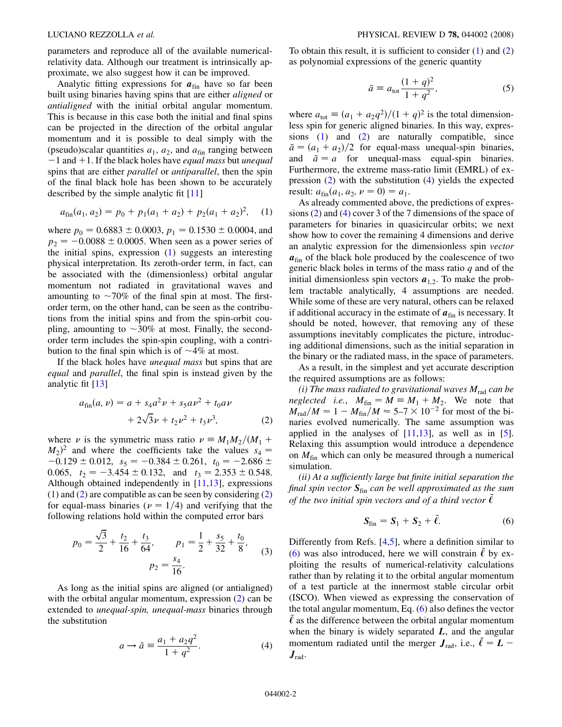parameters and reproduce all of the available numericalrelativity data. Although our treatment is intrinsically approximate, we also suggest how it can be improved.

Analytic fitting expressions for  $a_{fin}$  have so far been built using binaries having spins that are either *aligned* or antialigned with the initial orbital angular momentum. This is because in this case both the initial and final spins can be projected in the direction of the orbital angular momentum and it is possible to deal simply with the (pseudo)scalar quantities  $a_1$ ,  $a_2$ , and  $a_{fin}$  ranging between  $-1$  and  $+1$ . If the black holes have *equal mass* but *unequal* spins that are either *parallel* or *antiparallel*, then the spin of the final black hole has been shown to be accurately described by the simple analytic fit [11]

<span id="page-1-0"></span>
$$
a_{fin}(a_1, a_2) = p_0 + p_1(a_1 + a_2) + p_2(a_1 + a_2)^2, \quad (1)
$$

where  $p_0 = 0.6883 \pm 0.0003$ ,  $p_1 = 0.1530 \pm 0.0004$ , and  $p_2 = -0.0088 \pm 0.0005$ . When seen as a power series of the initial spins, expression ([1](#page-1-0)) suggests an interesting physical interpretation. Its zeroth-order term, in fact, can be associated with the (dimensionless) orbital angular momentum not radiated in gravitational waves and amounting to  $\sim 70\%$  of the final spin at most. The firstorder term, on the other hand, can be seen as the contributions from the initial spins and from the spin-orbit coupling, amounting to  $\sim 30\%$  at most. Finally, the secondorder term includes the spin-spin coupling, with a contribution to the final spin which is of  $\sim$ 4% at most.

<span id="page-1-1"></span>If the black holes have *unequal mass* but spins that are equal and parallel, the final spin is instead given by the analytic fit [13]

$$
a_{fin}(a, \nu) = a + s_4 a^2 \nu + s_5 a \nu^2 + t_0 a \nu
$$
  
+ 2\sqrt{3}\nu + t\_2 \nu^2 + t\_3 \nu^3, (2)

where  $\nu$  is the symmetric mass ratio  $\nu = M_1M_2/(M_1 +$  $(M_2)^2$  and where the coefficients take the values  $s_4 =$  $-0.129 \pm 0.012$ ,  $s_5 = -0.384 \pm 0.261$ ,  $t_0 = -2.686 \pm 0.012$ 0.065,  $t_2 = -3.454 \pm 0.132$ , and  $t_3 = 2.353 \pm 0.548$ . Although obtained independently in [11,13], expressions [\(1\)](#page-1-0) and ([2](#page-1-1)) are compatible as can be seen by considering [\(2\)](#page-1-1) for equal-mass binaries ( $\nu = 1/4$ ) and verifying that the following relations hold within the computed error bars

<span id="page-1-4"></span>
$$
p_0 = \frac{\sqrt{3}}{2} + \frac{t_2}{16} + \frac{t_3}{64}, \qquad p_1 = \frac{1}{2} + \frac{s_5}{32} + \frac{t_0}{8},
$$
  

$$
p_2 = \frac{s_4}{16}.
$$
 (3)

<span id="page-1-2"></span>As long as the initial spins are aligned (or antialigned) with the orbital angular momentum, expression [\(2](#page-1-1)) can be extended to unequal-spin, unequal-mass binaries through the substitution

$$
a \to \tilde{a} \equiv \frac{a_1 + a_2 q^2}{1 + q^2}.
$$
 (4)

To obtain this result, it is sufficient to consider [\(1](#page-1-0)) and [\(2\)](#page-1-1) as polynomial expressions of the generic quantity

$$
\tilde{a} = a_{\text{tot}} \frac{(1+q)^2}{1+q^2},
$$
\n(5)

where  $a_{\text{tot}} \equiv (a_1 + a_2 q^2)/(1 + q)^2$  is the total dimensionless spin for generic aligned binaries. In this way, expressions ([1](#page-1-0)) and [\(2](#page-1-1)) are naturally compatible, since  $\tilde{a} = (a_1 + a_2)/2$  for equal-mass unequal-spin binaries, and  $\tilde{a} = a$  for unequal-mass equal-spin binaries. Furthermore, the extreme mass-ratio limit (EMRL) of expression [\(2](#page-1-1)) with the substitution ([4](#page-1-2)) yields the expected result:  $a_{fin}(a_1, a_2, \nu = 0) = a_1$ .

As already commented above, the predictions of expressions [\(2](#page-1-1)) and ([4\)](#page-1-2) cover 3 of the 7 dimensions of the space of parameters for binaries in quasicircular orbits; we next show how to cover the remaining 4 dimensions and derive an analytic expression for the dimensionless spin vector  $a_{fin}$  of the black hole produced by the coalescence of two generic black holes in terms of the mass ratio  $q$  and of the initial dimensionless spin vectors  $a_{1,2}$ . To make the problem tractable analytically, 4 assumptions are needed. While some of these are very natural, others can be relaxed if additional accuracy in the estimate of  $a_{fin}$  is necessary. It should be noted, however, that removing any of these assumptions inevitably complicates the picture, introducing additional dimensions, such as the initial separation in the binary or the radiated mass, in the space of parameters.

As a result, in the simplest and yet accurate description the required assumptions are as follows:

(i) The mass radiated to gravitational waves  $M_{rad}$  can be neglected i.e.,  $M_{fin} = M = M_1 + M_2$ . We note that  $M_{\text{rad}}/M = 1 - M_{\text{fin}}/M \approx 5-7 \times 10^{-2}$  for most of the binaries evolved numerically. The same assumption was applied in the analyses of  $[11,13]$ , as well as in  $[5]$ . Relaxing this assumption would introduce a dependence on  $M_{fin}$  which can only be measured through a numerical simulation.

<span id="page-1-3"></span>(ii) At a sufficiently large but finite initial separation the final spin vector  $S_{fin}$  can be well approximated as the sum of the two initial spin vectors and of a third vector  $\tilde{\ell}$ 

$$
\mathbf{S}_{\rm fin} = \mathbf{S}_1 + \mathbf{S}_2 + \tilde{\ell}.\tag{6}
$$

Differently from Refs. [4,5], where a definition similar to [\(6\)](#page-1-3) was also introduced, here we will constrain  $\ell$  by exploiting the results of numerical-relativity calculations rather than by relating it to the orbital angular momentum of a test particle at the innermost stable circular orbit (ISCO). When viewed as expressing the conservation of the total angular momentum, Eq. [\(6](#page-1-3)) also defines the vector  $\tilde{\ell}$  as the difference between the orbital angular momentum when the binary is widely separated  $L$ , and the angular momentum radiated until the merger  $J_{\text{rad}}$ , i.e.,  $\tilde{\ell} = L J_{\text{rad}}$ .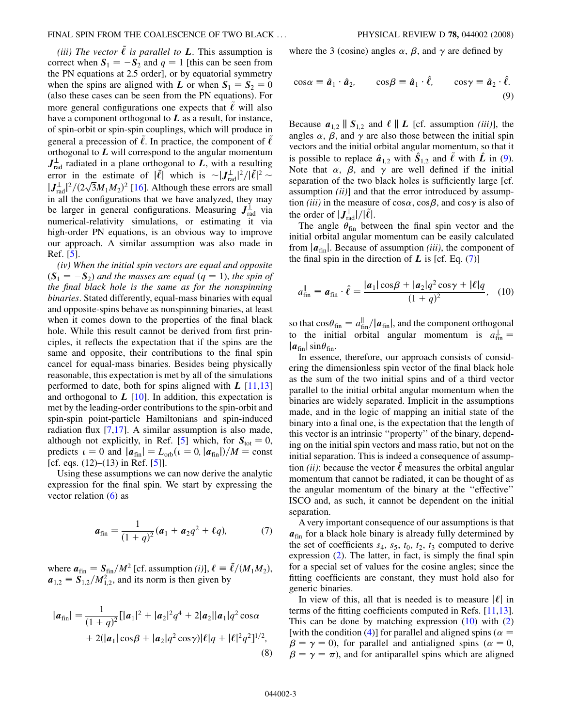(iii) The vector  $\tilde{\ell}$  is parallel to **L**. This assumption is correct when  $S_1 = -S_2$  and  $q = 1$  [this can be seen from the PN equations at 2.5 order], or by equatorial symmetry when the spins are aligned with L or when  $S_1 = S_2 = 0$ (also these cases can be seen from the PN equations). For more general configurations one expects that  $\ell$  will also have a component orthogonal to  $L$  as a result, for instance, of spin-orbit or spin-spin couplings, which will produce in general a precession of  $\ell$ . In practice, the component of  $\ell$ orthogonal to  $L$  will correspond to the angular momentum  $J_{rad}^{\perp}$  radiated in a plane orthogonal to L, with a resulting error in the estimate of  $|\tilde{\ell}|$  which is  $\sim |J_{\text{rad}}^{\perp}|^2/|\tilde{\ell}|^2$  $|J_{\text{rad}}^{\perp}|^2/(2\sqrt{3}M_1M_2)^2$  [16]. Although these errors are small in all the configurations that we have analyzed, they may be larger in general configurations. Measuring  $J_{rad}^{\perp}$  via numerical-relativity simulations, or estimating it via high-order PN equations, is an obvious way to improve our approach. A similar assumption was also made in Ref. [5].

(iv) When the initial spin vectors are equal and opposite  $(S_1 = -S_2)$  and the masses are equal  $(q = 1)$ , the spin of the final black hole is the same as for the nonspinning binaries. Stated differently, equal-mass binaries with equal and opposite-spins behave as nonspinning binaries, at least when it comes down to the properties of the final black hole. While this result cannot be derived from first principles, it reflects the expectation that if the spins are the same and opposite, their contributions to the final spin cancel for equal-mass binaries. Besides being physically reasonable, this expectation is met by all of the simulations performed to date, both for spins aligned with  $L$  [11,13] and orthogonal to  $L \left[ 10 \right]$ . In addition, this expectation is met by the leading-order contributions to the spin-orbit and spin-spin point-particle Hamiltonians and spin-induced radiation flux [7,17]. A similar assumption is also made, although not explicitly, in Ref. [5] which, for  $S_{\text{tot}} = 0$ , predicts  $\iota = 0$  and  $|a_{fin}| = L_{orb}(\iota = 0, |a_{fin}|)/M = const$ [cf. eqs.  $(12)$ – $(13)$  in Ref. [5]].

<span id="page-2-1"></span>Using these assumptions we can now derive the analytic expression for the final spin. We start by expressing the vector relation  $(6)$  $(6)$  as

$$
a_{\rm fin} = \frac{1}{(1+q)^2} (a_1 + a_2 q^2 + \ell q), \tag{7}
$$

<span id="page-2-3"></span>where  $a_{\text{fin}} = S_{\text{fin}}/M^2$  [cf. assumption (i)],  $\ell \equiv \tilde{\ell}/(M_1M_2)$ ,  $a_{1,2} \equiv S_{1,2}^{\text{max}}/M_{1,2}^2$ , and its norm is then given by

$$
|\boldsymbol{a}_{\text{fin}}| = \frac{1}{(1+q)^2} [|\boldsymbol{a}_1|^2 + |\boldsymbol{a}_2|^2 q^4 + 2|\boldsymbol{a}_2||\boldsymbol{a}_1| q^2 \cos \alpha + 2(|\boldsymbol{a}_1| \cos \beta + |\boldsymbol{a}_2| q^2 \cos \gamma) |\ell| q + |\ell|^2 q^2]^{1/2},
$$
\n(8)

<span id="page-2-0"></span>where the 3 (cosine) angles  $\alpha$ ,  $\beta$ , and  $\gamma$  are defined by

$$
\cos \alpha = \hat{a}_1 \cdot \hat{a}_2, \qquad \cos \beta = \hat{a}_1 \cdot \hat{\ell}, \qquad \cos \gamma = \hat{a}_2 \cdot \hat{\ell}.
$$
\n(9)

Because  $a_{1,2} \parallel S_{1,2}$  and  $\ell \parallel L$  [cf. assumption *(iii)*], the angles  $\alpha$ ,  $\beta$ , and  $\gamma$  are also those between the initial spin vectors and the initial orbital angular momentum, so that it is possible to replace  $\hat{a}_{1,2}$  with  $\hat{S}_{1,2}$  and  $\tilde{\ell}$  with  $\hat{L}$  in ([9\)](#page-2-0). Note that  $\alpha$ ,  $\beta$ , and  $\gamma$  are well defined if the initial separation of the two black holes is sufficiently large [cf. assumption  $(ii)$ ] and that the error introduced by assumption *(iii)* in the measure of  $\cos \alpha$ ,  $\cos \beta$ , and  $\cos \gamma$  is also of the order of  $|J_{\text{rad}}^{\perp}|/|\tilde{\ell}|$ .

The angle  $\theta_{fin}$  between the final spin vector and the initial orbital angular momentum can be easily calculated from  $|a_{fin}|$ . Because of assumption *(iii)*, the component of the final spin in the direction of  $L$  is [cf. Eq. ([7](#page-2-1))]

<span id="page-2-2"></span>
$$
a_{\text{fin}}^{\parallel} \equiv \boldsymbol{a}_{\text{fin}} \cdot \hat{\ell} = \frac{|\boldsymbol{a}_1| \cos \beta + |\boldsymbol{a}_2| q^2 \cos \gamma + |\ell| q}{(1+q)^2}, \quad (10)
$$

so that  $\cos\theta_{\text{fin}} = a_{\text{fin}}^{\parallel}/|a_{\text{fin}}|$ , and the component orthogonal to the initial orbital angular momentum is  $a_{fin}^{\perp} =$  $|a_{fin}| \sin \theta_{fin}$ .

In essence, therefore, our approach consists of considering the dimensionless spin vector of the final black hole as the sum of the two initial spins and of a third vector parallel to the initial orbital angular momentum when the binaries are widely separated. Implicit in the assumptions made, and in the logic of mapping an initial state of the binary into a final one, is the expectation that the length of this vector is an intrinsic ''property'' of the binary, depending on the initial spin vectors and mass ratio, but not on the initial separation. This is indeed a consequence of assumption *(ii)*: because the vector  $\ell$  measures the orbital angular momentum that cannot be radiated, it can be thought of as the angular momentum of the binary at the ''effective'' ISCO and, as such, it cannot be dependent on the initial separation.

A very important consequence of our assumptions is that  $a_{fin}$  for a black hole binary is already fully determined by the set of coefficients  $s_4$ ,  $s_5$ ,  $t_0$ ,  $t_2$ ,  $t_3$  computed to derive expression ([2\)](#page-1-1). The latter, in fact, is simply the final spin for a special set of values for the cosine angles; since the fitting coefficients are constant, they must hold also for generic binaries.

In view of this, all that is needed is to measure  $|\ell|$  in terms of the fitting coefficients computed in Refs. [11,13]. This can be done by matching expression  $(10)$  $(10)$  $(10)$  with  $(2)$ [with the condition [\(4](#page-1-2))] for parallel and aligned spins ( $\alpha$  =  $\beta = \gamma = 0$ ), for parallel and antialigned spins ( $\alpha = 0$ ,  $\beta = \gamma = \pi$ ), and for antiparallel spins which are aligned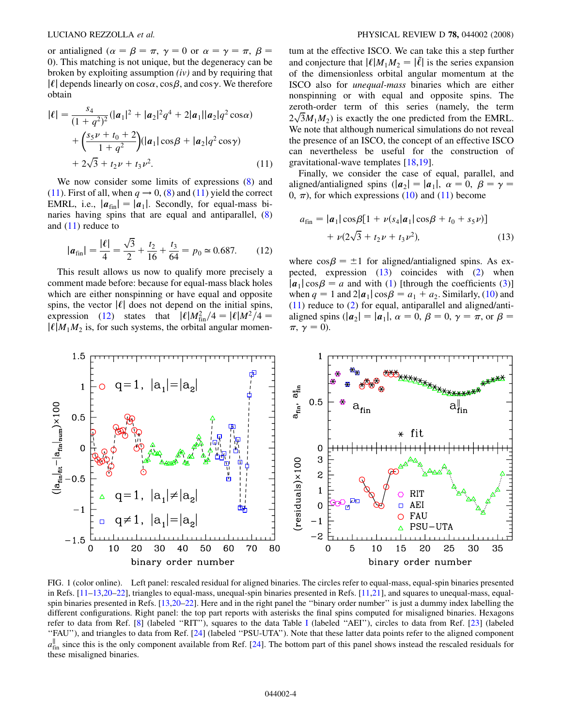<span id="page-3-3"></span>or antialigned ( $\alpha = \beta = \pi$ ,  $\gamma = 0$  or  $\alpha = \gamma = \pi$ ,  $\beta =$ 0). This matching is not unique, but the degeneracy can be broken by exploiting assumption  $(iv)$  and by requiring that  $|\ell|$  depends linearly on cos $\alpha$ , cos $\beta$ , and cos $\gamma$ . We therefore obtain

<span id="page-3-0"></span>
$$
|\ell| = \frac{s_4}{(1+q^2)^2} (|a_1|^2 + |a_2|^2 q^4 + 2|a_1||a_2|q^2 \cos \alpha)
$$
  
+ 
$$
\left(\frac{s_5 \nu + t_0 + 2}{1+q^2}\right) (|a_1|\cos \beta + |a_2|q^2 \cos \gamma)
$$
  
+ 
$$
2\sqrt{3} + t_2 \nu + t_3 \nu^2.
$$
 (11)

We now consider some limits of expressions  $(8)$  $(8)$  and [\(11\)](#page-3-0). First of all, when  $q \rightarrow 0$ , ([8\)](#page-2-3) and (11) yield the correct EMRL, i.e.,  $|\mathbf{a}_{fin}| = |\mathbf{a}_1|$ . Secondly, for equal-mass binaries having spins that are equal and antiparallel, [\(8\)](#page-2-3) and  $(11)$  $(11)$  $(11)$  reduce to

<span id="page-3-1"></span>
$$
|\boldsymbol{a}_{\text{fin}}| = \frac{|\ell|}{4} = \frac{\sqrt{3}}{2} + \frac{t_2}{16} + \frac{t_3}{64} = p_0 \approx 0.687. \quad (12)
$$

This result allows us now to qualify more precisely a comment made before: because for equal-mass black holes which are either nonspinning or have equal and opposite spins, the vector  $|\ell|$  does not depend on the initial spins, expression ([12](#page-3-1)) states that  $|\ell| M_{\text{fin}}^2/4 = |\ell| M^2/4 =$  $|\ell|M_1M_2|$  is, for such systems, the orbital angular momentum at the effective ISCO. We can take this a step further and conjecture that  $|\ell|M_1M_2 = |\tilde{\ell}|$  is the series expansion of the dimensionless orbital angular momentum at the ISCO also for unequal-mass binaries which are either nonspinning or with equal and opposite spins. The zeroth-order term of this series (namely, the term  $2\sqrt{3}M_1M_2$ ) is exactly the one predicted from the EMRL. We note that although numerical simulations do not reveal the presence of an ISCO, the concept of an effective ISCO can nevertheless be useful for the construction of gravitational-wave templates [18,19].

Finally, we consider the case of equal, parallel, and aligned/antialigned spins  $(|a_2|=|a_1|, \alpha=0, \beta=\gamma=1$ 0,  $\pi$ ), for which expressions ([10\)](#page-2-2) and [\(11\)](#page-3-0) become

<span id="page-3-2"></span>
$$
a_{\text{fin}} = |\mathbf{a}_1| \cos\beta [1 + \nu (s_4|\mathbf{a}_1| \cos\beta + t_0 + s_5 \nu)]
$$
  
+  $\nu (2\sqrt{3} + t_2 \nu + t_3 \nu^2)$ , (13)

where  $\cos \beta = \pm 1$  for aligned/antialigned spins. As expected, expression [\(13\)](#page-3-2) coincides with ([2\)](#page-1-1) when  $|a_1|\cos\beta = a$  and with [\(1\)](#page-1-0) [through the coefficients ([3](#page-1-4))] when  $q = 1$  and  $2|\mathbf{a}_1|\cos\beta = a_1 + a_2$ . Similarly, ([10](#page-2-2)) and [\(11\)](#page-3-0) reduce to ([2](#page-1-1)) for equal, antiparallel and aligned/antialigned spins  $(|a_2| = |a_1|, \alpha = 0, \beta = 0, \gamma = \pi, \text{ or } \beta = \pi$  $\pi$ ,  $\gamma = 0$ ).



FIG. 1 (color online). Left panel: rescaled residual for aligned binaries. The circles refer to equal-mass, equal-spin binaries presented in Refs. [11–13,20–22], triangles to equal-mass, unequal-spin binaries presented in Refs. [11,21], and squares to unequal-mass, equalspin binaries presented in Refs. [13,20–22]. Here and in the right panel the ''binary order number'' is just a dummy index labelling the different configurations. Right panel: the top part reports with asterisks the final spins computed for misaligned binaries. Hexagons refer to data from Ref. [8] (labeled ''RIT''), squares to the data Table [I](#page-4-0) (labeled ''AEI''), circles to data from Ref. [23] (labeled ''FAU''), and triangles to data from Ref. [24] (labeled ''PSU-UTA''). Note that these latter data points refer to the aligned component  $a_{\text{lin}}^{\text{F}}$  since this is the only component available from Ref. [24]. The bottom part of this panel shows instead the rescaled residuals for these misaligned binaries.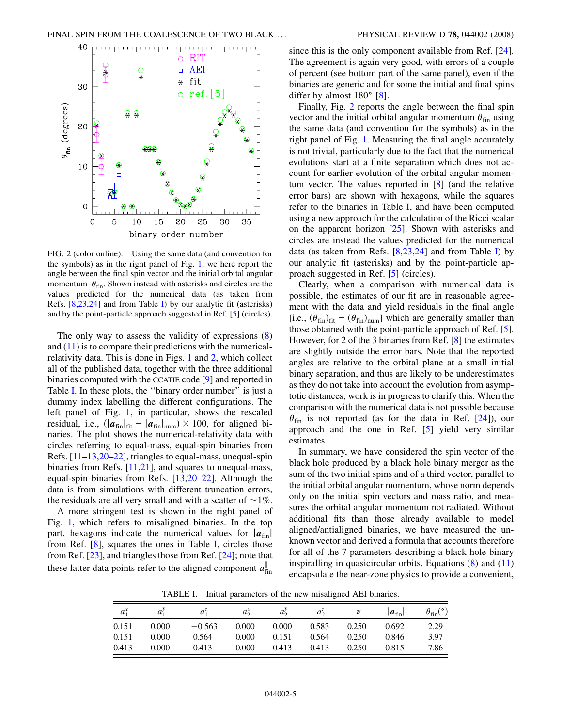<span id="page-4-0"></span>

FIG. 2 (color online). Using the same data (and convention for the symbols) as in the right panel of Fig. [1](#page-3-3), we here report the angle between the final spin vector and the initial orbital angular momentum  $\theta_{fin}$ . Shown instead with asterisks and circles are the values predicted for the numerical data (as taken from Refs. [8,23,24] and from Table I) by our analytic fit (asterisks) and by the point-particle approach suggested in Ref. [5] (circles).

The only way to assess the validity of expressions [\(8\)](#page-2-3) and  $(11)$  $(11)$  $(11)$  is to compare their predictions with the numericalrelativity data. This is done in Figs. [1](#page-3-3) and 2, which collect all of the published data, together with the three additional binaries computed with the CCATIE code [9] and reported in Table I. In these plots, the ''binary order number'' is just a dummy index labelling the different configurations. The left panel of Fig. [1](#page-3-3), in particular, shows the rescaled residual, i.e.,  $\left(\left|\boldsymbol{a}_{fin}\right|_{fit} - \left|\boldsymbol{a}_{fin}\right|_{num}\right) \times 100$ , for aligned binaries. The plot shows the numerical-relativity data with circles referring to equal-mass, equal-spin binaries from Refs. [11–13,20–22], triangles to equal-mass, unequal-spin binaries from Refs. [11,21], and squares to unequal-mass, equal-spin binaries from Refs. [13,20–22]. Although the data is from simulations with different truncation errors, the residuals are all very small and with a scatter of  $\sim$ 1%.

A more stringent test is shown in the right panel of Fig. [1,](#page-3-3) which refers to misaligned binaries. In the top part, hexagons indicate the numerical values for  $|a_{fin}|$ from Ref. [8], squares the ones in Table I, circles those from Ref. [23], and triangles those from Ref. [24]; note that these latter data points refer to the aligned component  $a_{fin}^{\parallel}$ 

since this is the only component available from Ref. [24]. The agreement is again very good, with errors of a couple of percent (see bottom part of the same panel), even if the binaries are generic and for some the initial and final spins differ by almost  $180^\circ$  [8].

Finally, Fig. 2 reports the angle between the final spin vector and the initial orbital angular momentum  $\theta_{fin}$  using the same data (and convention for the symbols) as in the right panel of Fig. [1](#page-3-3). Measuring the final angle accurately is not trivial, particularly due to the fact that the numerical evolutions start at a finite separation which does not account for earlier evolution of the orbital angular momentum vector. The values reported in [8] (and the relative error bars) are shown with hexagons, while the squares refer to the binaries in Table I, and have been computed using a new approach for the calculation of the Ricci scalar on the apparent horizon [25]. Shown with asterisks and circles are instead the values predicted for the numerical data (as taken from Refs.  $[8,23,24]$  and from Table I) by our analytic fit (asterisks) and by the point-particle approach suggested in Ref. [5] (circles).

Clearly, when a comparison with numerical data is possible, the estimates of our fit are in reasonable agreement with the data and yield residuals in the final angle [i.e.,  $(\theta_{fin})_{fit} - (\theta_{fin})_{num}$ ] which are generally smaller than those obtained with the point-particle approach of Ref. [5]. However, for 2 of the 3 binaries from Ref. [8] the estimates are slightly outside the error bars. Note that the reported angles are relative to the orbital plane at a small initial binary separation, and thus are likely to be underestimates as they do not take into account the evolution from asymptotic distances; work is in progress to clarify this. When the comparison with the numerical data is not possible because  $\theta_{fin}$  is not reported (as for the data in Ref. [24]), our approach and the one in Ref. [5] yield very similar estimates.

In summary, we have considered the spin vector of the black hole produced by a black hole binary merger as the sum of the two initial spins and of a third vector, parallel to the initial orbital angular momentum, whose norm depends only on the initial spin vectors and mass ratio, and measures the orbital angular momentum not radiated. Without additional fits than those already available to model aligned/antialigned binaries, we have measured the unknown vector and derived a formula that accounts therefore for all of the 7 parameters describing a black hole binary inspiralling in quasicircular orbits. Equations  $(8)$  $(8)$  and  $(11)$ encapsulate the near-zone physics to provide a convenient,

TABLE I. Initial parameters of the new misaligned AEI binaries.

| $a_1^x$ |       | $a^{\scriptscriptstyle \vee}$ | $a_{\hat{2}}$ | $a_{\tilde{}}$ | $a_{\tilde{}}$ |       | $ a_{fin} $ | $\theta_{fin}$ (°) |
|---------|-------|-------------------------------|---------------|----------------|----------------|-------|-------------|--------------------|
| 0.151   | 0.000 | $-0.563$                      | 0.000         | 0.000          | 0.583          | 0.250 | 0.692       | 2.29               |
| 0.151   | 0.000 | 0.564                         | 0.000         | 0.151          | 0.564          | 0.250 | 0.846       | 3.97               |
| 0.413   | 0.000 | 0.413                         | 0.000         | 0.413          | 0.413          | 0.250 | 0.815       | 7.86               |